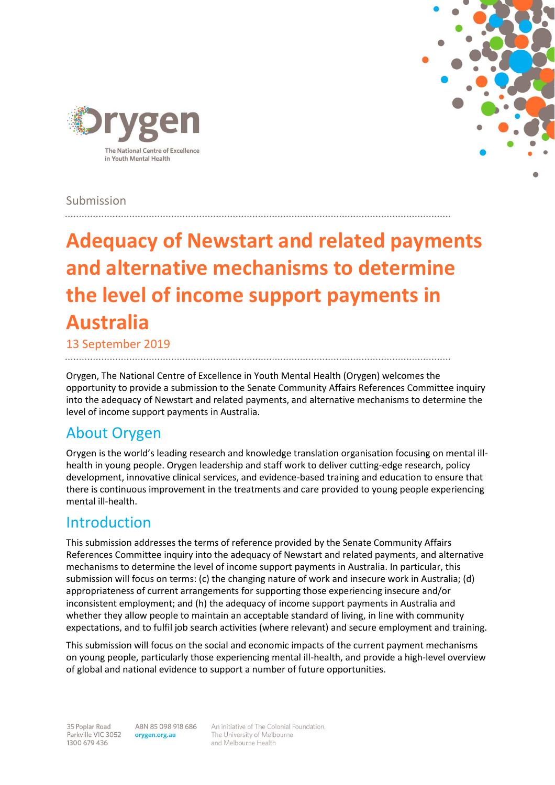

## Submission

# **Adequacy of Newstart and related payments and alternative mechanisms to determine the level of income support payments in Australia**

13 September 2019

Orygen, The National Centre of Excellence in Youth Mental Health (Orygen) welcomes the opportunity to provide a submission to the Senate Community Affairs References Committee inquiry into the adequacy of Newstart and related payments, and alternative mechanisms to determine the level of income support payments in Australia.

# About Orygen

Orygen is the world's leading research and knowledge translation organisation focusing on mental illhealth in young people. Orygen leadership and staff work to deliver cutting-edge research, policy development, innovative clinical services, and evidence-based training and education to ensure that there is continuous improvement in the treatments and care provided to young people experiencing mental ill-health.

# Introduction

This submission addresses the terms of reference provided by the Senate Community Affairs References Committee inquiry into the adequacy of Newstart and related payments, and alternative mechanisms to determine the level of income support payments in Australia. In particular, this submission will focus on terms: (c) the changing nature of work and insecure work in Australia; (d) appropriateness of current arrangements for supporting those experiencing insecure and/or inconsistent employment; and (h) the adequacy of income support payments in Australia and whether they allow people to maintain an acceptable standard of living, in line with community expectations, and to fulfil job search activities (where relevant) and secure employment and training.

This submission will focus on the social and economic impacts of the current payment mechanisms on young people, particularly those experiencing mental ill-health, and provide a high-level overview of global and national evidence to support a number of future opportunities.

ABN 85 098 918 686 orygen.org.au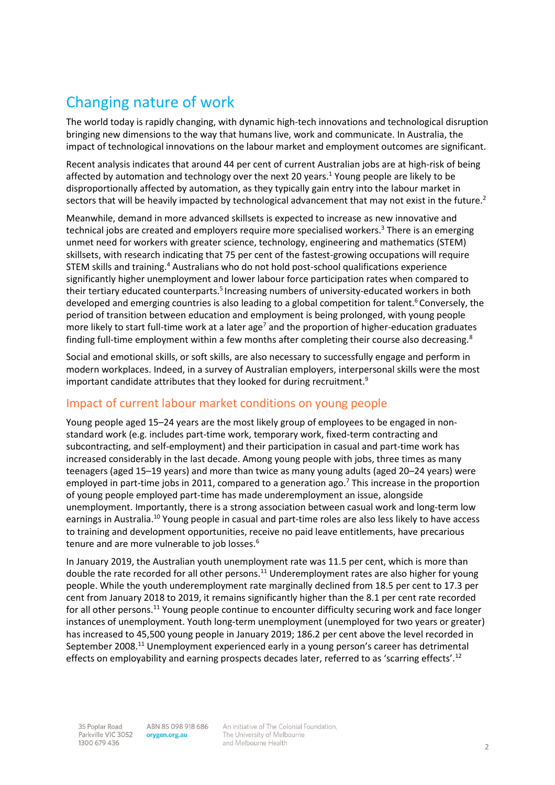# Changing nature of work

The world today is rapidly changing, with dynamic high-tech innovations and technological disruption bringing new dimensions to the way that humans live, work and communicate. In Australia, the impact of technological innovations on the labour market and employment outcomes are significant.

Recent analysis indicates that around 44 per cent of current Australian jobs are at high-risk of being affected by automation and technology over the next 20 years[.](#page-7-0)<sup>1</sup> Young people are likely to be disproportionally affected by automation, as they typically gain entry into the labour market in sectors that will be heavily impacted by technological advancement that may not exist in the future[.](#page-7-1)<sup>2</sup>

Meanwhile, demand in more advanced skillsets is expected to increase as new innovative and technical jobs are created and employers require more specialised workers[.](#page-7-2) <sup>3</sup> There is an emerging unmet need for workers with greater science, technology, engineering and mathematics (STEM) skillsets, with research indicating that 75 per cent of the fastest-growing occupations will require STEM skills and training.<sup>[4](#page-7-3)</sup> Australians who do not hold post-school qualifications experience significantly higher unemployment and lower labour force participation rates when compared to their tertiary educated counterparts[.](#page-7-4)<sup>5</sup> Increasing numbers of university-educated workers in both developed and emerging countries is also leading to a global competition for talent[.](#page-7-5)<sup>6</sup> Conversely, the period of transition between education and employment is being prolonged, with young people more likely to start full-time work at a later age<sup>[7](#page-7-6)</sup> and the proportion of higher-education graduates finding full-time employment within a few months after completing their course also decreasing.<sup>[8](#page-7-7)</sup>

Social and emotional skills, or soft skills, are also necessary to successfully engage and perform in modern workplaces. Indeed, in a survey of Australian employers, interpersonal skills were the most important candidate attributes that they looked for during recruitment[.](#page-7-8)<sup>9</sup>

## Impact of current labour market conditions on young people

Young people aged 15–24 years are the most likely group of employees to be engaged in nonstandard work (e.g. includes part-time work, temporary work, fixed-term contracting and subcontracting, and self-employment) and their participation in casual and part-time work has increased considerably in the last decade. Among young people with jobs, three times as many teenagers (aged 15–19 years) and more than twice as many young adults (aged 20–24 years) were employed in part-time jobs in 2011, compared to a generation ago.<sup>[7](#page-7-6)</sup> This increase in the proportion of young people employed part-time has made underemployment an issue, alongside unemployment. Importantly, there is a strong association between casual work and long-term low earnings in Australia.<sup>[10](#page-7-9)</sup> Young people in casual and part-time roles are also less likely to have access to training and development opportunities, receive no paid leave entitlements, have precarious tenure and are more vulnerable to job losses[.](#page-7-5)<sup>6</sup>

In January 2019, the Australian youth unemployment rate was 11.5 per cent, which is more than double the rate recorded for all other persons.<sup>[11](#page-7-10)</sup> Underemployment rates are also higher for young people. While the youth underemployment rate marginally declined from 18.5 per cent to 17.3 per cent from January 2018 to 2019, it remains significantly higher than the 8.1 per cent rate recorded for all other persons.<sup>[11](#page-7-10)</sup> Young people continue to encounter difficulty securing work and face longer instances of unemployment. Youth long-term unemployment (unemployed for two years or greater) has increased to 45,500 young people in January 2019; 186.2 per cent above the level recorded in September 2008.<sup>[11](#page-7-10)</sup> Unemployment experienced early in a young person's career has detrimental effects on employability and earning prospects decades later, referred to as 'scarring effects'.<sup>[12](#page-7-11)</sup>

ABN 85 098 918 686 orygen.org.au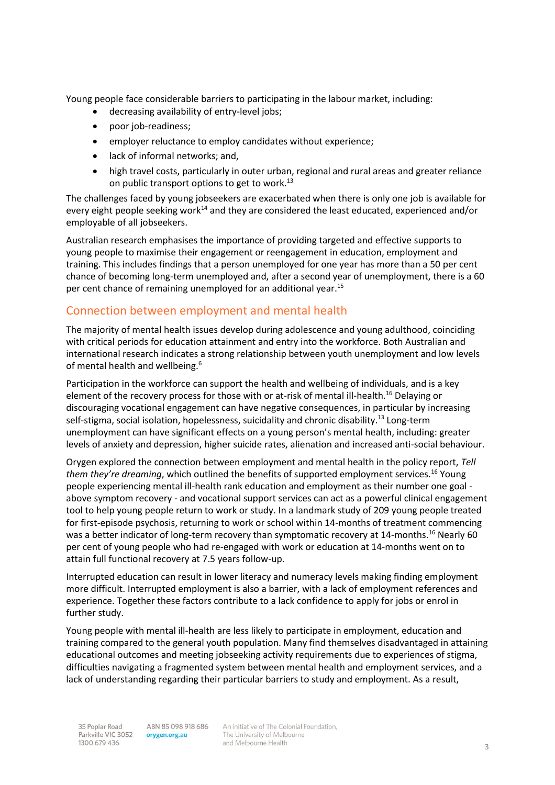Young people face considerable barriers to participating in the labour market, including:

- decreasing availability of entry-level jobs;
- poor job-readiness;
- employer reluctance to employ candidates without experience;
- lack of informal networks; and,
- high travel costs, particularly in outer urban, regional and rural areas and greater reliance on public transport options to get to work.<sup>[13](#page-7-12)</sup>

The challenges faced by young jobseekers are exacerbated when there is only one job is available for every eight people seeking work<sup>[14](#page-7-13)</sup> and they are considered the least educated, experienced and/or employable of all jobseekers.

Australian research emphasises the importance of providing targeted and effective supports to young people to maximise their engagement or reengagement in education, employment and training. This includes findings that a person unemployed for one year has more than a 50 per cent chance of becoming long-term unemployed and, after a second year of unemployment, there is a 60 per cent chance of remaining unemployed for an additional year.[15](#page-7-14)

## Connection between employment and mental health

The majority of mental health issues develop during adolescence and young adulthood, coinciding with critical periods for education attainment and entry into the workforce. Both Australian and international research indicates a strong relationship between youth unemployment and low levels of mental health and wellbeing.<sup>[6](#page-7-5)</sup>

Participation in the workforce can support the health and wellbeing of individuals, and is a key element of the recovery process for those with or at-risk of mental ill-health.<sup>[16](#page-7-15)</sup> Delaying or discouraging vocational engagement can have negative consequences, in particular by increasing self-stigma, social isolation, hopelessness, suicidality and chronic disability.<sup>[13](#page-7-12)</sup> Long-term unemployment can have significant effects on a young person's mental health, including: greater levels of anxiety and depression, higher suicide rates, alienation and increased anti-social behaviour.

Orygen explored the connection between employment and mental health in the policy report, *Tell them they're dreaming*, which outlined the benefits of supported employment services.[16](#page-7-15) Young people experiencing mental ill-health rank education and employment as their number one goal above symptom recovery - and vocational support services can act as a powerful clinical engagement tool to help young people return to work or study. In a landmark study of 209 young people treated for first-episode psychosis, returning to work or school within 14-months of treatment commencing was a better indicator of long-term recovery than symptomatic recovery at 14-months.<sup>[16](#page-7-15)</sup> Nearly 60 per cent of young people who had re-engaged with work or education at 14-months went on to attain full functional recovery at 7.5 years follow-up.

Interrupted education can result in lower literacy and numeracy levels making finding employment more difficult. Interrupted employment is also a barrier, with a lack of employment references and experience. Together these factors contribute to a lack confidence to apply for jobs or enrol in further study.

Young people with mental ill-health are less likely to participate in employment, education and training compared to the general youth population. Many find themselves disadvantaged in attaining educational outcomes and meeting jobseeking activity requirements due to experiences of stigma, difficulties navigating a fragmented system between mental health and employment services, and a lack of understanding regarding their particular barriers to study and employment. As a result,

ABN 85 098 918 686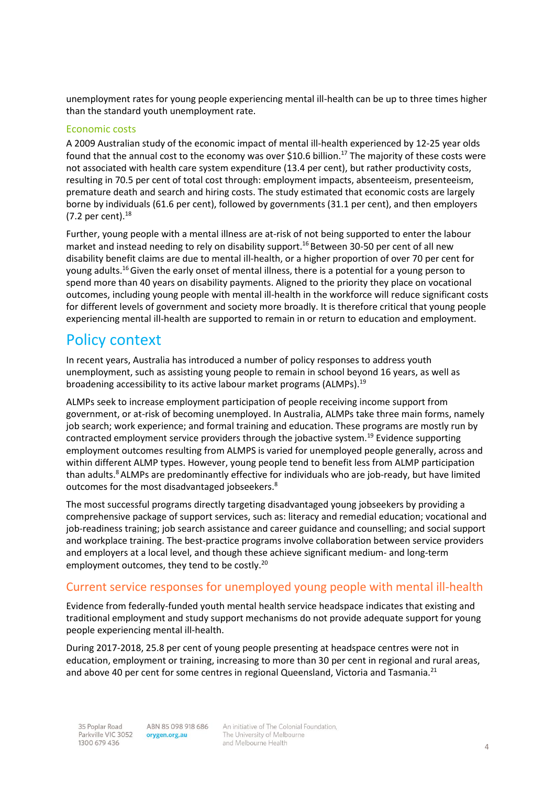unemployment rates for young people experiencing mental ill-health can be up to three times higher than the standard youth unemployment rate.

#### Economic costs

A 2009 Australian study of the economic impact of mental ill-health experienced by 12-25 year olds found that the annual cost to the economy was over \$10.6 billion.<sup>[17](#page-7-16)</sup> The majority of these costs were not associated with health care system expenditure (13.4 per cent), but rather productivity costs, resulting in 70.5 per cent of total cost through: employment impacts, absenteeism, presenteeism, premature death and search and hiring costs. The study estimated that economic costs are largely borne by individuals (61.6 per cent), followed by governments (31.1 per cent), and then employers (7.2 per cent). $^{18}$  $^{18}$  $^{18}$ 

Further, young people with a mental illness are at-risk of not being supported to enter the labour market and instead needing to rely on disability support.<sup>[16](#page-7-15)</sup> Between 30-50 per cent of all new disability benefit claims are due to mental ill-health, or a higher proportion of over 70 per cent for young adults.<sup>[16](#page-7-15)</sup> Given the early onset of mental illness, there is a potential for a young person to spend more than 40 years on disability payments. Aligned to the priority they place on vocational outcomes, including young people with mental ill-health in the workforce will reduce significant costs for different levels of government and society more broadly. It is therefore critical that young people experiencing mental ill-health are supported to remain in or return to education and employment.

## Policy context

In recent years, Australia has introduced a number of policy responses to address youth unemployment, such as assisting young people to remain in school beyond 16 years, as well as broadening accessibility to its active labour market programs (ALMPs).<sup>[19](#page-7-18)</sup>

ALMPs seek to increase employment participation of people receiving income support from government, or at-risk of becoming unemployed. In Australia, ALMPs take three main forms, namely job search; work experience; and formal training and education. These programs are mostly run by contracted employment service providers through the jobactive system.[19](#page-7-18) Evidence supporting employment outcomes resulting from ALMPS is varied for unemployed people generally, across and within different ALMP types. However, young people tend to benefit less from ALMP participation than adults.<sup>[8](#page-7-7)</sup> ALMPs are predominantly effective for individuals who are job-ready, but have limited outcomes for the most disadvantaged jobseekers.[8](#page-7-7)

The most successful programs directly targeting disadvantaged young jobseekers by providing a comprehensive package of support services, such as: literacy and remedial education; vocational and job-readiness training; job search assistance and career guidance and counselling; and social support and workplace training. The best-practice programs involve collaboration between service providers and employers at a local level, and though these achieve significant medium- and long-term employment outcomes, they tend to be costly.<sup>[20](#page-7-19)</sup>

### Current service responses for unemployed young people with mental ill-health

Evidence from federally-funded youth mental health service headspace indicates that existing and traditional employment and study support mechanisms do not provide adequate support for young people experiencing mental ill-health.

During 2017-2018, 25.8 per cent of young people presenting at headspace centres were not in education, employment or training, increasing to more than 30 per cent in regional and rural areas, and above 40 per cent for some centres in regional Queensland, Victoria and Tasmania.<sup>[21](#page-7-20)</sup>

ABN 85 098 918 686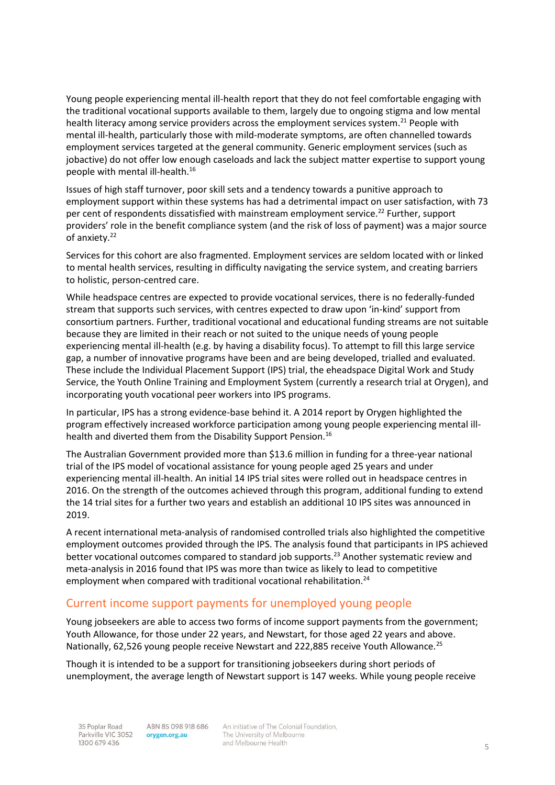Young people experiencing mental ill-health report that they do not feel comfortable engaging with the traditional vocational supports available to them, largely due to ongoing stigma and low mental health literacy among service providers across the employment services system.<sup>[21](#page-7-20)</sup> People with mental ill-health, particularly those with mild-moderate symptoms, are often channelled towards employment services targeted at the general community. Generic employment services (such as jobactive) do not offer low enough caseloads and lack the subject matter expertise to support young people with mental ill-health.[16](#page-7-15)

Issues of high staff turnover, poor skill sets and a tendency towards a punitive approach to employment support within these systems has had a detrimental impact on user satisfaction, with 73 per cent of respondents dissatisfied with mainstream employment service.<sup>[22](#page-8-0)</sup> Further, support providers' role in the benefit compliance system (and the risk of loss of payment) was a major source of anxiety.<sup>[22](#page-8-0)</sup>

Services for this cohort are also fragmented. Employment services are seldom located with or linked to mental health services, resulting in difficulty navigating the service system, and creating barriers to holistic, person-centred care.

While headspace centres are expected to provide vocational services, there is no federally-funded stream that supports such services, with centres expected to draw upon 'in-kind' support from consortium partners. Further, traditional vocational and educational funding streams are not suitable because they are limited in their reach or not suited to the unique needs of young people experiencing mental ill-health (e.g. by having a disability focus). To attempt to fill this large service gap, a number of innovative programs have been and are being developed, trialled and evaluated. These include the Individual Placement Support (IPS) trial, the eheadspace Digital Work and Study Service, the Youth Online Training and Employment System (currently a research trial at Orygen), and incorporating youth vocational peer workers into IPS programs.

In particular, IPS has a strong evidence-base behind it. A 2014 report by Orygen highlighted the program effectively increased workforce participation among young people experiencing mental ill-health and diverted them from the Disability Support Pension.<sup>[16](#page-7-15)</sup>

The Australian Government provided more than \$13.6 million in funding for a three-year national trial of the IPS model of vocational assistance for young people aged 25 years and under experiencing mental ill-health. An initial 14 IPS trial sites were rolled out in headspace centres in 2016. On the strength of the outcomes achieved through this program, additional funding to extend the 14 trial sites for a further two years and establish an additional 10 IPS sites was announced in 2019.

A recent international meta-analysis of randomised controlled trials also highlighted the competitive employment outcomes provided through the IPS. The analysis found that participants in IPS achieved better vocational outcomes compared to standard job supports.<sup>[23](#page-8-1)</sup> Another systematic review and meta-analysis in 2016 found that IPS was more than twice as likely to lead to competitive employment when compared with traditional vocational rehabilitation.<sup>[24](#page-8-2)</sup>

#### Current income support payments for unemployed young people

Young jobseekers are able to access two forms of income support payments from the government; Youth Allowance, for those under 22 years, and Newstart, for those aged 22 years and above. Nationally, 62,526 young people receive Newstart and 222,885 receive Youth Allowance.<sup>[25](#page-8-3)</sup>

Though it is intended to be a support for transitioning jobseekers during short periods of unemployment, the average length of Newstart support is 147 weeks. While young people receive

ABN 85 098 918 686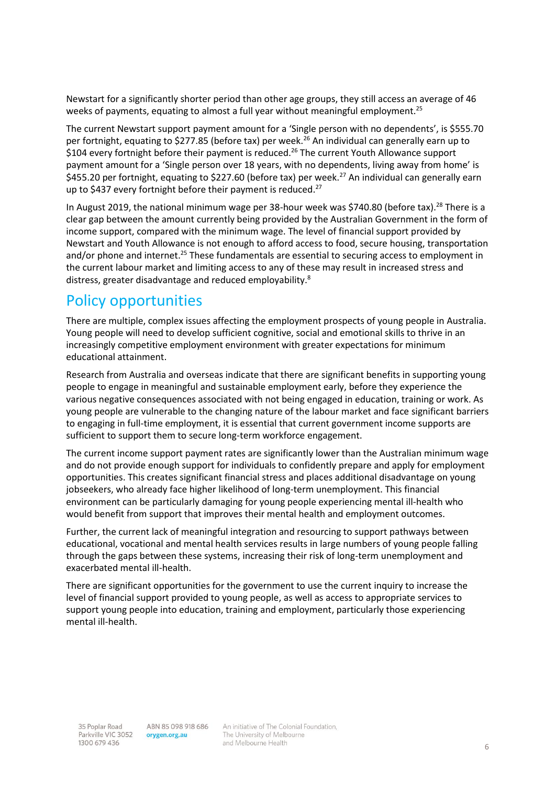Newstart for a significantly shorter period than other age groups, they still access an average of 46 weeks of payments, equating to almost a full year without meaningful employment.<sup>[25](#page-8-3)</sup>

The current Newstart support payment amount for a 'Single person with no dependents', is \$555.70 per fortnight, equating to \$277.85 (before tax) per week.<sup>[26](#page-8-4)</sup> An individual can generally earn up to \$104 every fortnight before their payment is reduced.<sup>[26](#page-8-4)</sup> The current Youth Allowance support payment amount for a 'Single person over 18 years, with no dependents, living away from home' is \$455.20 per fortnight, equating to \$2[27](#page-8-5).60 (before tax) per week.<sup>27</sup> An individual can generally earn up to \$437 every fortnight before their payment is reduced.<sup>[27](#page-8-5)</sup>

In August 2019, the national minimum wage per 38-hour week was \$740.80 (before tax).<sup>[28](#page-8-6)</sup> There is a clear gap between the amount currently being provided by the Australian Government in the form of income support, compared with the minimum wage. The level of financial support provided by Newstart and Youth Allowance is not enough to afford access to food, secure housing, transportation and/or phone and internet.<sup>[25](#page-8-3)</sup> These fundamentals are essential to securing access to employment in the current labour market and limiting access to any of these may result in increased stress and distress, greater disadvantage and reduced employability[.](#page-7-7)<sup>8</sup>

# Policy opportunities

There are multiple, complex issues affecting the employment prospects of young people in Australia. Young people will need to develop sufficient cognitive, social and emotional skills to thrive in an increasingly competitive employment environment with greater expectations for minimum educational attainment.

Research from Australia and overseas indicate that there are significant benefits in supporting young people to engage in meaningful and sustainable employment early, before they experience the various negative consequences associated with not being engaged in education, training or work. As young people are vulnerable to the changing nature of the labour market and face significant barriers to engaging in full-time employment, it is essential that current government income supports are sufficient to support them to secure long-term workforce engagement.

The current income support payment rates are significantly lower than the Australian minimum wage and do not provide enough support for individuals to confidently prepare and apply for employment opportunities. This creates significant financial stress and places additional disadvantage on young jobseekers, who already face higher likelihood of long-term unemployment. This financial environment can be particularly damaging for young people experiencing mental ill-health who would benefit from support that improves their mental health and employment outcomes.

Further, the current lack of meaningful integration and resourcing to support pathways between educational, vocational and mental health services results in large numbers of young people falling through the gaps between these systems, increasing their risk of long-term unemployment and exacerbated mental ill-health.

There are significant opportunities for the government to use the current inquiry to increase the level of financial support provided to young people, as well as access to appropriate services to support young people into education, training and employment, particularly those experiencing mental ill-health.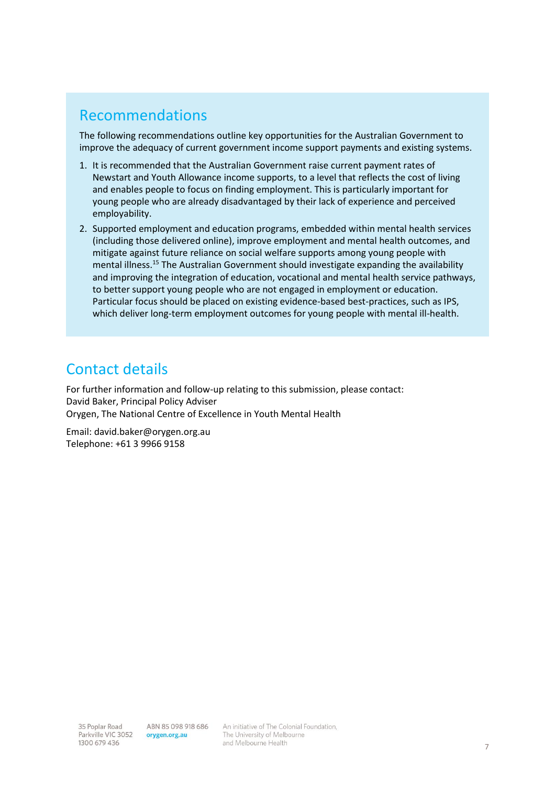# Recommendations

The following recommendations outline key opportunities for the Australian Government to improve the adequacy of current government income support payments and existing systems.

- 1. It is recommended that the Australian Government raise current payment rates of Newstart and Youth Allowance income supports, to a level that reflects the cost of living and enables people to focus on finding employment. This is particularly important for young people who are already disadvantaged by their lack of experience and perceived employability.
- 2. Supported employment and education programs, embedded within mental health services (including those delivered online), improve employment and mental health outcomes, and mitigate against future reliance on social welfare supports among young people with mental illness.<sup>15</sup> The Australian Government should investigate expanding the availability and improving the integration of education, vocational and mental health service pathways, to better support young people who are not engaged in employment or education. Particular focus should be placed on existing evidence-based best-practices, such as IPS, which deliver long-term employment outcomes for young people with mental ill-health.

# Contact details

For further information and follow-up relating to this submission, please contact: David Baker, Principal Policy Adviser Orygen, The National Centre of Excellence in Youth Mental Health

Email: david.baker@orygen.org.au Telephone: +61 3 9966 9158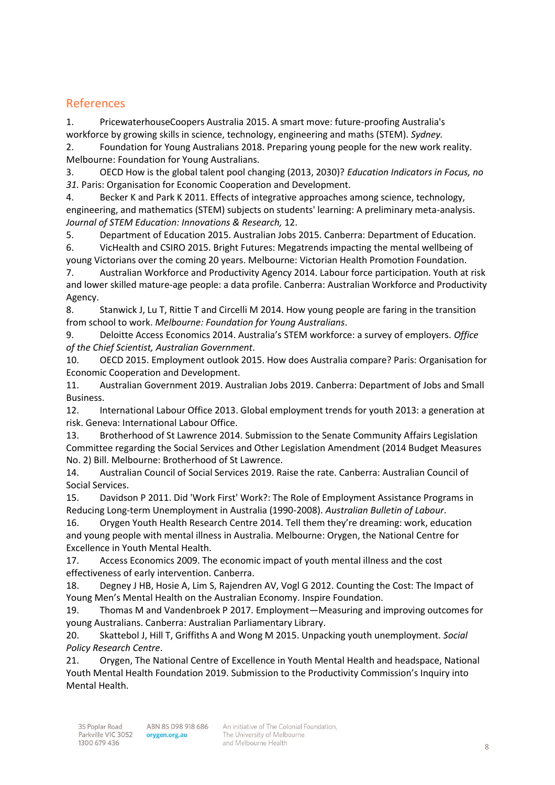## References

<span id="page-7-0"></span>1. PricewaterhouseCoopers Australia 2015. A smart move: future-proofing Australia's workforce by growing skills in science, technology, engineering and maths (STEM). *Sydney.*

<span id="page-7-1"></span>2. Foundation for Young Australians 2018. Preparing young people for the new work reality. Melbourne: Foundation for Young Australians.

<span id="page-7-2"></span>3. OECD How is the global talent pool changing (2013, 2030)? *Education Indicators in Focus, no 31.* Paris: Organisation for Economic Cooperation and Development.

<span id="page-7-3"></span>4. Becker K and Park K 2011. Effects of integrative approaches among science, technology, engineering, and mathematics (STEM) subjects on students' learning: A preliminary meta-analysis. *Journal of STEM Education: Innovations & Research,* 12.

<span id="page-7-5"></span><span id="page-7-4"></span>5. Department of Education 2015. Australian Jobs 2015. Canberra: Department of Education. 6. VicHealth and CSIRO 2015. Bright Futures: Megatrends impacting the mental wellbeing of

<span id="page-7-6"></span>young Victorians over the coming 20 years. Melbourne: Victorian Health Promotion Foundation. 7. Australian Workforce and Productivity Agency 2014. Labour force participation. Youth at risk and lower skilled mature-age people: a data profile. Canberra: Australian Workforce and Productivity

Agency. 8. Stanwick J, Lu T, Rittie T and Circelli M 2014. How young people are faring in the transition

<span id="page-7-7"></span>from school to work. *Melbourne: Foundation for Young Australians*.

<span id="page-7-8"></span>9. Deloitte Access Economics 2014. Australia's STEM workforce: a survey of employers. *Office of the Chief Scientist, Australian Government*.

<span id="page-7-9"></span>10. OECD 2015. Employment outlook 2015. How does Australia compare? Paris: Organisation for Economic Cooperation and Development.

<span id="page-7-10"></span>11. Australian Government 2019. Australian Jobs 2019. Canberra: Department of Jobs and Small Business.

<span id="page-7-11"></span>12. International Labour Office 2013. Global employment trends for youth 2013: a generation at risk. Geneva: International Labour Office.

<span id="page-7-12"></span>13. Brotherhood of St Lawrence 2014. Submission to the Senate Community Affairs Legislation Committee regarding the Social Services and Other Legislation Amendment (2014 Budget Measures No. 2) Bill. Melbourne: Brotherhood of St Lawrence.

<span id="page-7-13"></span>14. Australian Council of Social Services 2019. Raise the rate. Canberra: Australian Council of Social Services.

<span id="page-7-14"></span>15. Davidson P 2011. Did 'Work First' Work?: The Role of Employment Assistance Programs in Reducing Long-term Unemployment in Australia (1990-2008). *Australian Bulletin of Labour*.

<span id="page-7-15"></span>16. Orygen Youth Health Research Centre 2014. Tell them they're dreaming: work, education and young people with mental illness in Australia. Melbourne: Orygen, the National Centre for Excellence in Youth Mental Health.

<span id="page-7-16"></span>17. Access Economics 2009. The economic impact of youth mental illness and the cost effectiveness of early intervention. Canberra.

<span id="page-7-17"></span>18. Degney J HB, Hosie A, Lim S, Rajendren AV, Vogl G 2012. Counting the Cost: The Impact of Young Men's Mental Health on the Australian Economy. Inspire Foundation.

<span id="page-7-18"></span>19. Thomas M and Vandenbroek P 2017. Employment—Measuring and improving outcomes for young Australians. Canberra: Australian Parliamentary Library.

<span id="page-7-19"></span>20. Skattebol J, Hill T, Griffiths A and Wong M 2015. Unpacking youth unemployment. *Social Policy Research Centre*.

<span id="page-7-20"></span>21. Orygen, The National Centre of Excellence in Youth Mental Health and headspace, National Youth Mental Health Foundation 2019. Submission to the Productivity Commission's Inquiry into Mental Health.